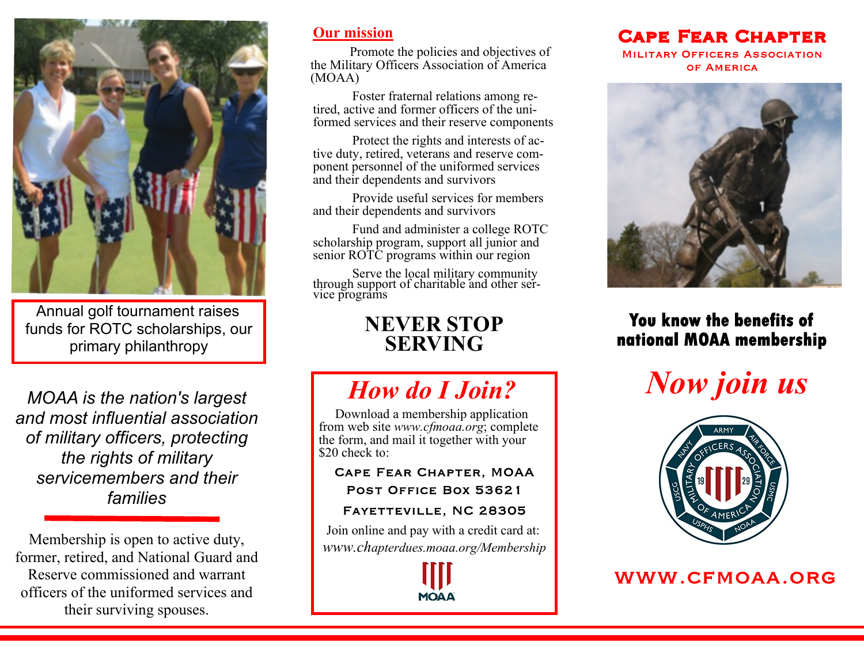

Annual golf tournament raises funds for ROTC scholarships, our primary philanthropy

*MOAA is the nation's largest and most influential association of military officers, protecting the rights of military servicemembers and their families*

Membership is open to active duty, former, retired, and National Guard and Reserve commissioned and warrant officers of the uniformed services and their surviving spouses.

#### **Our mission**

Promote the policies and objectives of the Military Officers Association of America (MOAA)

Foster fraternal relations among retired, active and former officers of the uniformed services and their reserve components

Protect the rights and interests of active duty, retired, veterans and reserve component personnel of the uniformed services and their dependents and survivors

Provide useful services for members and their dependents and survivors

Fund and administer a college ROTC scholarship program, support all junior and senior ROTC programs within our region

Serve the local military community through support of charitable and other service programs

## **NEVER STOP SERVING**

# *How do I Join?*

 Download a membership application from web site *www.cfmoaa.org*; complete the form, and mail it together with your \$20 check to:

**CAPE FEAR CHAPTER, MOAA** POST OFFICE BOX 53621

#### FAYETTEVILLE, NC 28305

Join online and pay with a credit card at: *www.chapterdues.moaa.org/Membership*



### **CAPE FEAR CHAPTER**

**MILITARY OFFICERS ASSOCIATION** OF AMERICA



### You know the benefits of national MOAA membership





### WWW.CFMOAA.ORG